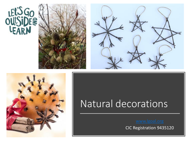







# Natural decorations

CIC Registration 9435120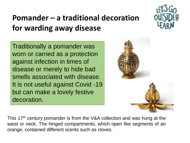## **Pomander – a traditional decoration for warding away disease**

Traditionally a pomander was worn or carried as a protection against infection in times of disease or merely to hide bad smells associated with disease. It is not useful against Covid -19 but can make a lovely festive decoration.



This 17<sup>th</sup> century pomander is from the V&A collection and was hung at the waist or neck. The hinged compartments, which open like segments of an orange, contained different scents such as cloves.

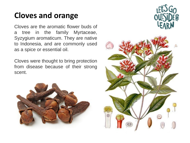#### **Cloves and orange**

Cloves are the aromatic flower buds of a tree in the family Myrtaceae, Syzygium aromaticum. They are native to Indonesia, and are commonly used as a spice or essential oil.

Cloves were thought to bring protection from disease because of their strong scent.



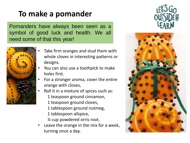### **To make a pomander**

Pomanders have always been seen as a symbol of good luck and health. We all need some of that this year!



- Take firm oranges and stud them with whole cloves in interesting patterns or designs.
- You can also use a toothpick to make holes first.
- For a stronger aroma, cover the entire orange with cloves,
- Roll it in a mixture of spices such as:
	- 1 teaspoon ground cinnamon,
	- 1 teaspoon ground cloves,
	- 1 tablespoon ground nutmeg,
	- 1 tablespoon allspice,
	- ¼ cup powdered orris root.
- Leave the orange in the mix for a week, turning once a day.



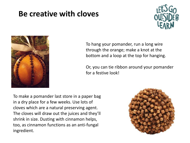#### **Be creative with cloves**





To hang your pomander, run a long wire through the orange; make a knot at the bottom and a loop at the top for hanging.

Or, you can tie ribbon around your pomander for a festive look!

To make a pomander last store in a paper bag in a dry place for a few weeks. Use lots of cloves which are a natural preserving agent. The cloves will draw out the juices and they'll shrink in size. Dusting with cinnamon helps, too, as cinnamon functions as an anti-fungal ingredient.

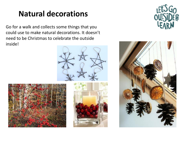#### **Natural decorations**

Go for a walk and collects some things that you could use to make natural decorations. It doesn't need to be Christmas to celebrate the outside inside!